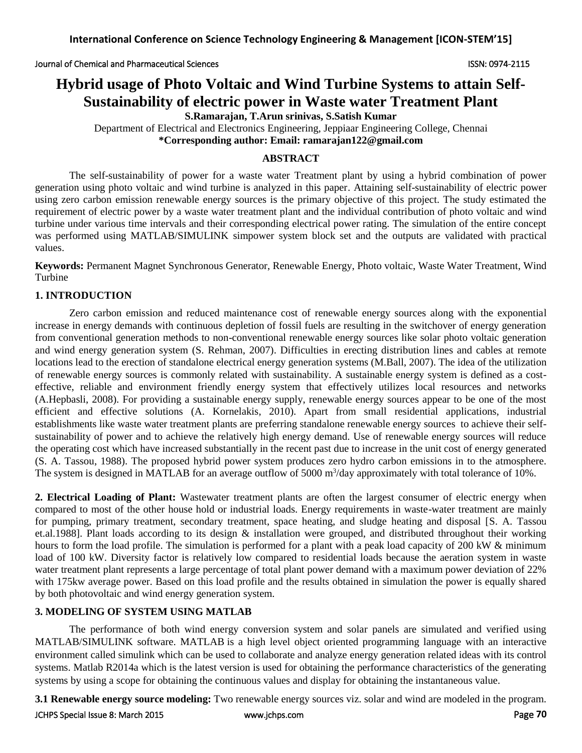# **Hybrid usage of Photo Voltaic and Wind Turbine Systems to attain Self-Sustainability of electric power in Waste water Treatment Plant**

**S.Ramarajan, T.Arun srinivas, S.Satish Kumar**

Department of Electrical and Electronics Engineering, Jeppiaar Engineering College, Chennai **\*Corresponding author: Email: ramarajan122@gmail.com**

# **ABSTRACT**

The self-sustainability of power for a waste water Treatment plant by using a hybrid combination of power generation using photo voltaic and wind turbine is analyzed in this paper. Attaining self-sustainability of electric power using zero carbon emission renewable energy sources is the primary objective of this project. The study estimated the requirement of electric power by a waste water treatment plant and the individual contribution of photo voltaic and wind turbine under various time intervals and their corresponding electrical power rating. The simulation of the entire concept was performed using MATLAB/SIMULINK simpower system block set and the outputs are validated with practical values.

**Keywords:** Permanent Magnet Synchronous Generator, Renewable Energy, Photo voltaic, Waste Water Treatment, Wind Turbine

# **1. INTRODUCTION**

Zero carbon emission and reduced maintenance cost of renewable energy sources along with the exponential increase in energy demands with continuous depletion of fossil fuels are resulting in the switchover of energy generation from conventional generation methods to non-conventional renewable energy sources like solar photo voltaic generation and wind energy generation system (S. Rehman, 2007). Difficulties in erecting distribution lines and cables at remote locations lead to the erection of standalone electrical energy generation systems (M.Ball, 2007). The idea of the utilization of renewable energy sources is commonly related with sustainability. A sustainable energy system is defined as a costeffective, reliable and environment friendly energy system that effectively utilizes local resources and networks (A.Hepbasli, 2008). For providing a sustainable energy supply, renewable energy sources appear to be one of the most efficient and effective solutions (A. Kornelakis, 2010). Apart from small residential applications, industrial establishments like waste water treatment plants are preferring standalone renewable energy sources to achieve their selfsustainability of power and to achieve the relatively high energy demand. Use of renewable energy sources will reduce the operating cost which have increased substantially in the recent past due to increase in the unit cost of energy generated (S. A. Tassou, 1988). The proposed hybrid power system produces zero hydro carbon emissions in to the atmosphere. The system is designed in MATLAB for an average outflow of 5000 m<sup>3</sup>/day approximately with total tolerance of 10%.

**2. Electrical Loading of Plant:** Wastewater treatment plants are often the largest consumer of electric energy when compared to most of the other house hold or industrial loads. Energy requirements in waste-water treatment are mainly for pumping, primary treatment, secondary treatment, space heating, and sludge heating and disposal [S. A. Tassou et.al.1988]. Plant loads according to its design & installation were grouped, and distributed throughout their working hours to form the load profile. The simulation is performed for a plant with a peak load capacity of 200 kW & minimum load of 100 kW. Diversity factor is relatively low compared to residential loads because the aeration system in waste water treatment plant represents a large percentage of total plant power demand with a maximum power deviation of 22% with 175kw average power. Based on this load profile and the results obtained in simulation the power is equally shared by both photovoltaic and wind energy generation system.

# **3. MODELING OF SYSTEM USING MATLAB**

The performance of both wind energy conversion system and solar panels are simulated and verified using MATLAB/SIMULINK software. MATLAB is a high level object oriented programming language with an interactive environment called simulink which can be used to collaborate and analyze energy generation related ideas with its control systems. Matlab R2014a which is the latest version is used for obtaining the performance characteristics of the generating systems by using a scope for obtaining the continuous values and display for obtaining the instantaneous value.

**3.1 Renewable energy source modeling:** Two renewable energy sources viz. solar and wind are modeled in the program.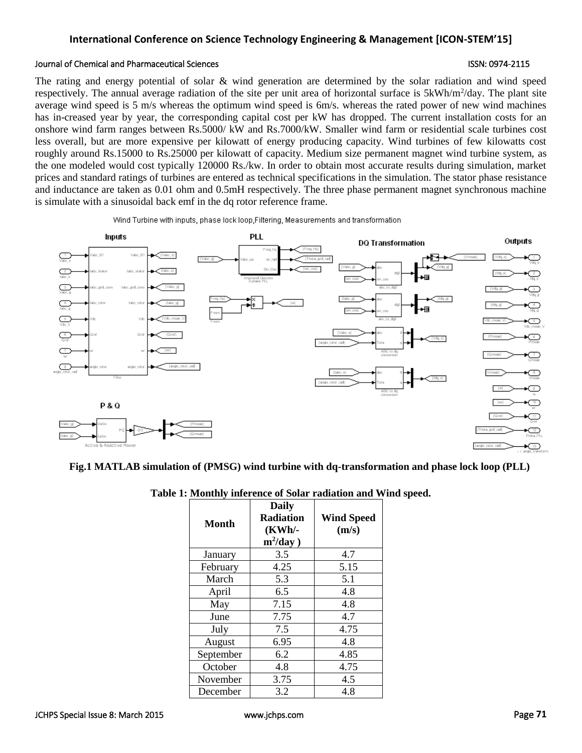# **International Conference on Science Technology Engineering & Management [ICON-STEM'15]**

#### Journal of Chemical and Pharmaceutical Sciences ISSN: 0974-2115

The rating and energy potential of solar & wind generation are determined by the solar radiation and wind speed respectively. The annual average radiation of the site per unit area of horizontal surface is 5kWh/m<sup>2</sup>/day. The plant site average wind speed is 5 m/s whereas the optimum wind speed is 6m/s. whereas the rated power of new wind machines has in-creased year by year, the corresponding capital cost per kW has dropped. The current installation costs for an onshore wind farm ranges between Rs.5000/ kW and Rs.7000/kW. Smaller wind farm or residential scale turbines cost less overall, but are more expensive per kilowatt of energy producing capacity. Wind turbines of few kilowatts cost roughly around Rs.15000 to Rs.25000 per kilowatt of capacity. Medium size permanent magnet wind turbine system, as the one modeled would cost typically 120000 Rs./kw. In order to obtain most accurate results during simulation, market prices and standard ratings of turbines are entered as technical specifications in the simulation. The stator phase resistance and inductance are taken as 0.01 ohm and 0.5mH respectively. The three phase permanent magnet synchronous machine is simulate with a sinusoidal back emf in the dq rotor reference frame.

Wind Turbine with inputs, phase lock loop, Filtering, Measurements and transformation



### **Fig.1 MATLAB simulation of (PMSG) wind turbine with dq-transformation and phase lock loop (PLL)**

|           |                                                           | : Monthly interence of Solar radiation and W |  |
|-----------|-----------------------------------------------------------|----------------------------------------------|--|
| Month     | <b>Daily</b><br><b>Radiation</b><br>(KWh/-<br>$m^2$ /day) | <b>Wind Speed</b><br>(m/s)                   |  |
| January   | 3.5                                                       | 4.7                                          |  |
| February  | 4.25                                                      | 5.15                                         |  |
| March     | 5.3                                                       | 5.1                                          |  |
| April     | 6.5                                                       | 4.8                                          |  |
| May       | 7.15                                                      | 4.8                                          |  |
| June      | 7.75                                                      | 4.7                                          |  |
| July      | 7.5                                                       | 4.75                                         |  |
| August    | 6.95                                                      | 4.8                                          |  |
| September | 6.2                                                       | 4.85                                         |  |
| October   | 4.8                                                       | 4.75                                         |  |
| November  | 3.75                                                      | 4.5                                          |  |
| December  | 3.2                                                       | 4.8                                          |  |

### **Table 1: Monthly inference of Solar radiation and Wind speed.**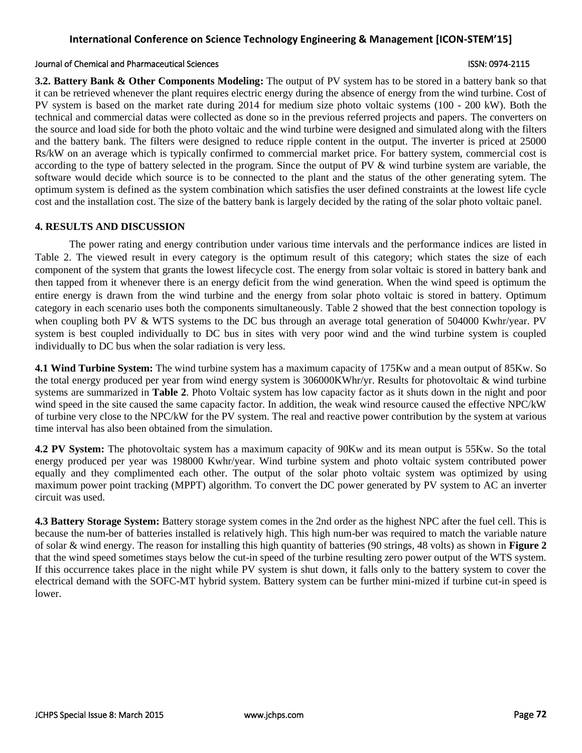# **International Conference on Science Technology Engineering & Management [ICON-STEM'15]**

#### Journal of Chemical and Pharmaceutical Sciences ISSN: 0974-2115

**3.2. Battery Bank & Other Components Modeling:** The output of PV system has to be stored in a battery bank so that it can be retrieved whenever the plant requires electric energy during the absence of energy from the wind turbine. Cost of PV system is based on the market rate during 2014 for medium size photo voltaic systems (100 - 200 kW). Both the technical and commercial datas were collected as done so in the previous referred projects and papers. The converters on the source and load side for both the photo voltaic and the wind turbine were designed and simulated along with the filters and the battery bank. The filters were designed to reduce ripple content in the output. The inverter is priced at 25000 Rs/kW on an average which is typically confirmed to commercial market price. For battery system, commercial cost is according to the type of battery selected in the program. Since the output of PV  $\&$  wind turbine system are variable, the software would decide which source is to be connected to the plant and the status of the other generating sytem. The optimum system is defined as the system combination which satisfies the user defined constraints at the lowest life cycle cost and the installation cost. The size of the battery bank is largely decided by the rating of the solar photo voltaic panel.

### **4. RESULTS AND DISCUSSION**

The power rating and energy contribution under various time intervals and the performance indices are listed in Table 2. The viewed result in every category is the optimum result of this category; which states the size of each component of the system that grants the lowest lifecycle cost. The energy from solar voltaic is stored in battery bank and then tapped from it whenever there is an energy deficit from the wind generation. When the wind speed is optimum the entire energy is drawn from the wind turbine and the energy from solar photo voltaic is stored in battery. Optimum category in each scenario uses both the components simultaneously. Table 2 showed that the best connection topology is when coupling both PV & WTS systems to the DC bus through an average total generation of 504000 Kwhr/year. PV system is best coupled individually to DC bus in sites with very poor wind and the wind turbine system is coupled individually to DC bus when the solar radiation is very less.

**4.1 Wind Turbine System:** The wind turbine system has a maximum capacity of 175Kw and a mean output of 85Kw. So the total energy produced per year from wind energy system is 306000KWhr/yr. Results for photovoltaic & wind turbine systems are summarized in **Table 2**. Photo Voltaic system has low capacity factor as it shuts down in the night and poor wind speed in the site caused the same capacity factor. In addition, the weak wind resource caused the effective NPC/kW of turbine very close to the NPC/kW for the PV system. The real and reactive power contribution by the system at various time interval has also been obtained from the simulation.

**4.2 PV System:** The photovoltaic system has a maximum capacity of 90Kw and its mean output is 55Kw. So the total energy produced per year was 198000 Kwhr/year. Wind turbine system and photo voltaic system contributed power equally and they complimented each other. The output of the solar photo voltaic system was optimized by using maximum power point tracking (MPPT) algorithm. To convert the DC power generated by PV system to AC an inverter circuit was used.

**4.3 Battery Storage System:** Battery storage system comes in the 2nd order as the highest NPC after the fuel cell. This is because the num-ber of batteries installed is relatively high. This high num-ber was required to match the variable nature of solar & wind energy. The reason for installing this high quantity of batteries (90 strings, 48 volts) as shown in **Figure 2** that the wind speed sometimes stays below the cut-in speed of the turbine resulting zero power output of the WTS system. If this occurrence takes place in the night while PV system is shut down, it falls only to the battery system to cover the electrical demand with the SOFC-MT hybrid system. Battery system can be further mini-mized if turbine cut-in speed is lower.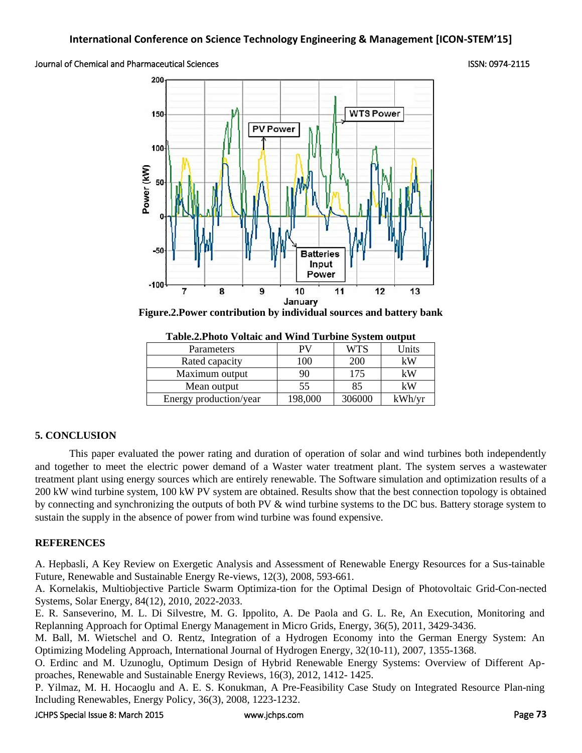### Journal of Chemical and Pharmaceutical Sciences ISSN: 0974-2115



**Figure.2.Power contribution by individual sources and battery bank**

| rabic.2.1 noto voltale and veniu rurbine system output |         |        |        |  |
|--------------------------------------------------------|---------|--------|--------|--|
| <b>Parameters</b>                                      |         | WTS    | Units  |  |
| Rated capacity                                         | 100     | 200    | kW     |  |
| Maximum output                                         | 90      | 175    | kW     |  |
| Mean output                                            | 55      | 85     | kW     |  |
| Energy production/year                                 | 198,000 | 306000 | kWh/yr |  |

**Table.2.Photo Voltaic and Wind Turbine System output**

# **5. CONCLUSION**

This paper evaluated the power rating and duration of operation of solar and wind turbines both independently and together to meet the electric power demand of a Waster water treatment plant. The system serves a wastewater treatment plant using energy sources which are entirely renewable. The Software simulation and optimization results of a 200 kW wind turbine system, 100 kW PV system are obtained. Results show that the best connection topology is obtained by connecting and synchronizing the outputs of both PV  $\&$  wind turbine systems to the DC bus. Battery storage system to sustain the supply in the absence of power from wind turbine was found expensive.

# **REFERENCES**

A. Hepbasli, A Key Review on Exergetic Analysis and Assessment of Renewable Energy Resources for a Sus-tainable Future, Renewable and Sustainable Energy Re-views, 12(3), 2008, 593-661.

A. Kornelakis, Multiobjective Particle Swarm Optimiza-tion for the Optimal Design of Photovoltaic Grid-Con-nected Systems, Solar Energy, 84(12), 2010, 2022-2033.

E. R. Sanseverino, M. L. Di Silvestre, M. G. Ippolito, A. De Paola and G. L. Re, An Execution, Monitoring and Replanning Approach for Optimal Energy Management in Micro Grids, Energy, 36(5), 2011, 3429-3436.

M. Ball, M. Wietschel and O. Rentz, Integration of a Hydrogen Economy into the German Energy System: An Optimizing Modeling Approach, International Journal of Hydrogen Energy, 32(10-11), 2007, 1355-1368.

O. Erdinc and M. Uzunoglu, Optimum Design of Hybrid Renewable Energy Systems: Overview of Different Approaches, Renewable and Sustainable Energy Reviews, 16(3), 2012, 1412- 1425.

P. Yilmaz, M. H. Hocaoglu and A. E. S. Konukman, A Pre-Feasibility Case Study on Integrated Resource Plan-ning Including Renewables, Energy Policy, 36(3), 2008, 1223-1232.